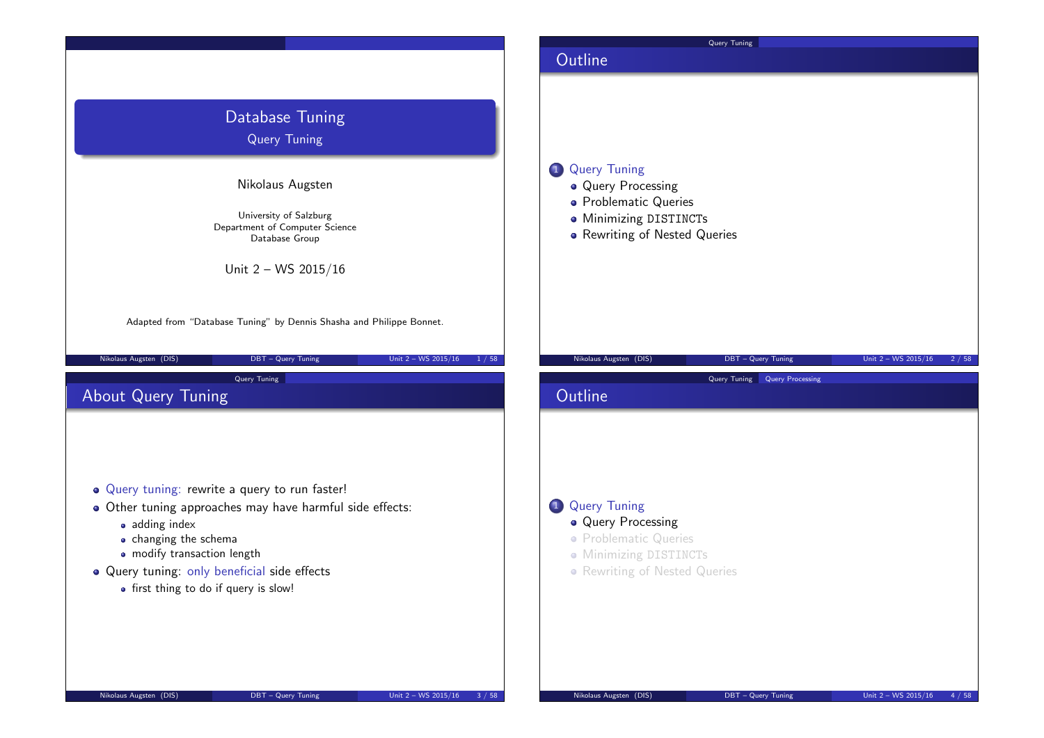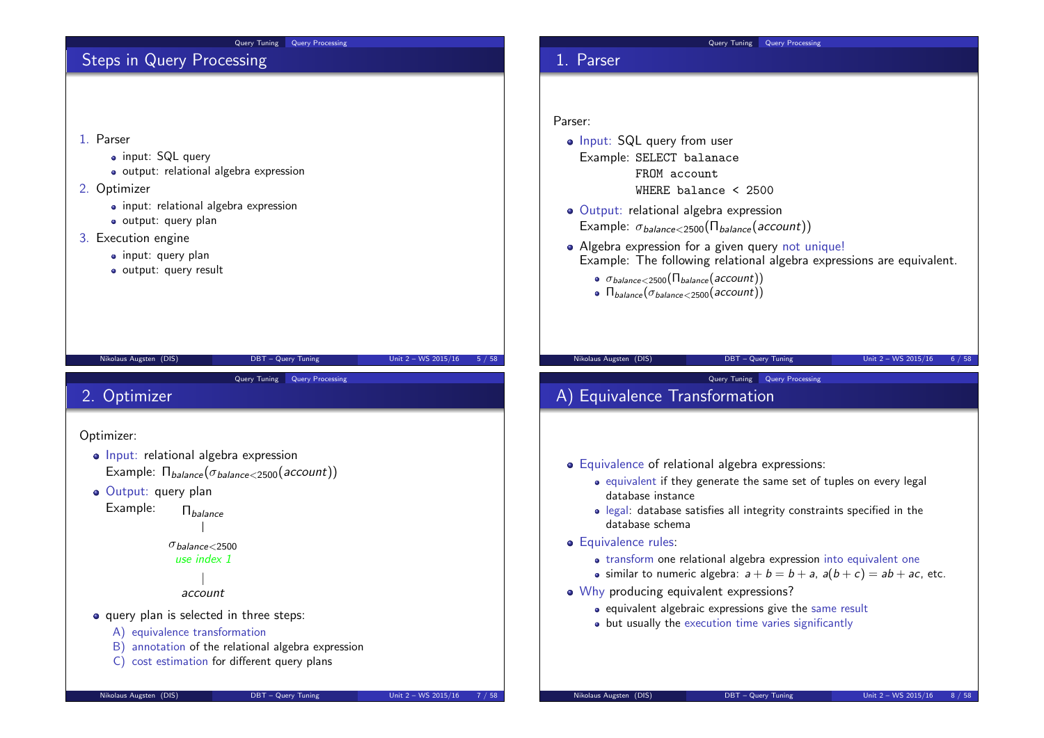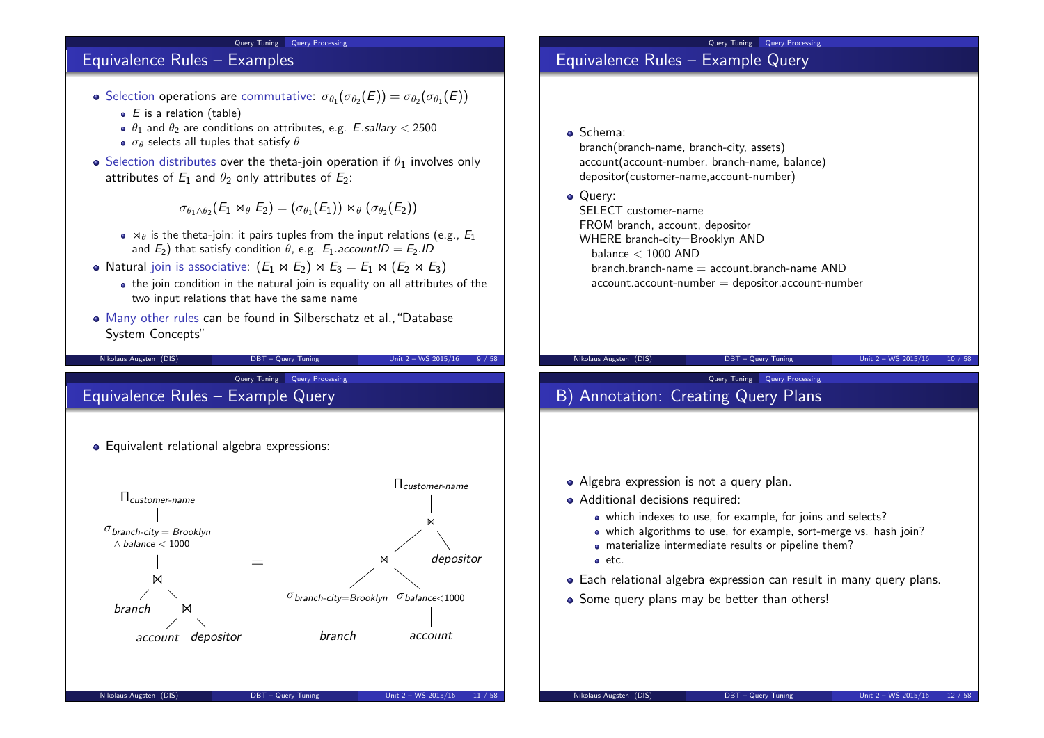#### Query Tuning Query Processing

### Equivalence Rules – Examples

- Selection operations are commutative:  $\sigma_{\theta_1}(\sigma_{\theta_2}(E)) = \sigma_{\theta_2}(\sigma_{\theta_1}(E))$ 
	- $\bullet$  E is a relation (table)
	- $\theta_1$  and  $\theta_2$  are conditions on attributes, e.g. E.sallary < 2500
	- $\bullet$   $\sigma_{\theta}$  selects all tuples that satisfy  $\theta$
- $\bullet$  Selection distributes over the theta-join operation if  $\theta_1$  involves only attributes of  $E_1$  and  $\theta_2$  only attributes of  $E_2$ :

 $\sigma_{\theta_1 \wedge \theta_2} (E_1 \bowtie_{\theta} E_2) = (\sigma_{\theta_1}(E_1)) \bowtie_{\theta} (\sigma_{\theta_2}(E_2))$ 

- $\bullet$   $\bowtie$  is the theta-join; it pairs tuples from the input relations (e.g.,  $E_1$ ) and  $E_2$ ) that satisfy condition  $\theta$ , e.g.  $E_1$  *accountID* =  $E_2$ .ID
- Natural join is associative:  $(E_1 \bowtie E_2) \bowtie E_3 = E_1 \bowtie (E_2 \bowtie E_3)$ 
	- the join condition in the natural join is equality on all attributes of the two input relations that have the same name

Nikolaus Augsten (DIS) DBT – Query Tuning Unit 2 – WS 2015/16 9 / 58

Many other rules can be found in Silberschatz et al.,"Database System Concepts"

Query Tuning Query Processing Equivalence Rules – Example Query



#### **•** Equivalent relational algebra expressions:

### Query Tuning Query Processing

## Equivalence Rules – Example Query

Schema:

branch(branch-name, branch-city, assets) account(account-number, branch-name, balance) depositor(customer-name,account-number)

• Query:

SELECT customer-name FROM branch, account, depositor WHERE branch-city=Brooklyn AND balance  $<$  1000 AND  $branch. branch-name = account. branch-name AND$  $account$ .account-number  $=$  depositor.account-number

Query Tuning Query Processing

Nikolaus Augsten (DIS) DBT – Query Tuning Unit 2 – WS 2015/16 10 / 58

# B) Annotation: Creating Query Plans

- Algebra expression is not a query plan.
- Additional decisions required:
	- which indexes to use, for example, for joins and selects?
	- which algorithms to use, for example, sort-merge vs. hash join?
	- materialize intermediate results or pipeline them?
	- etc.
- Each relational algebra expression can result in many query plans.
- Some query plans may be better than others!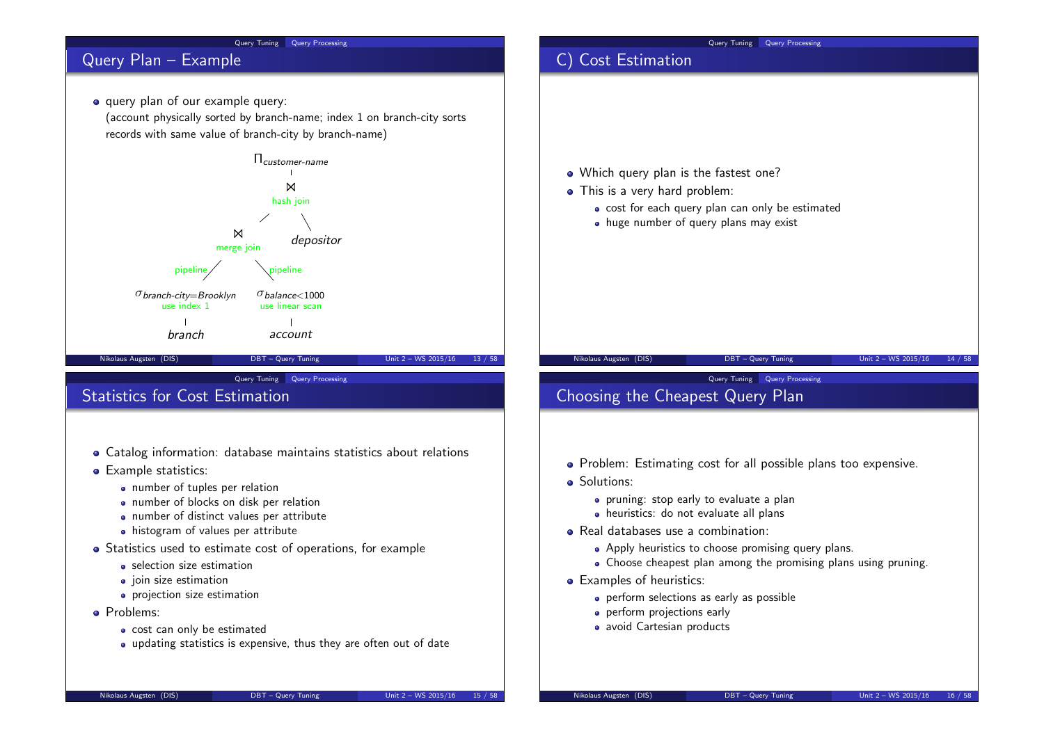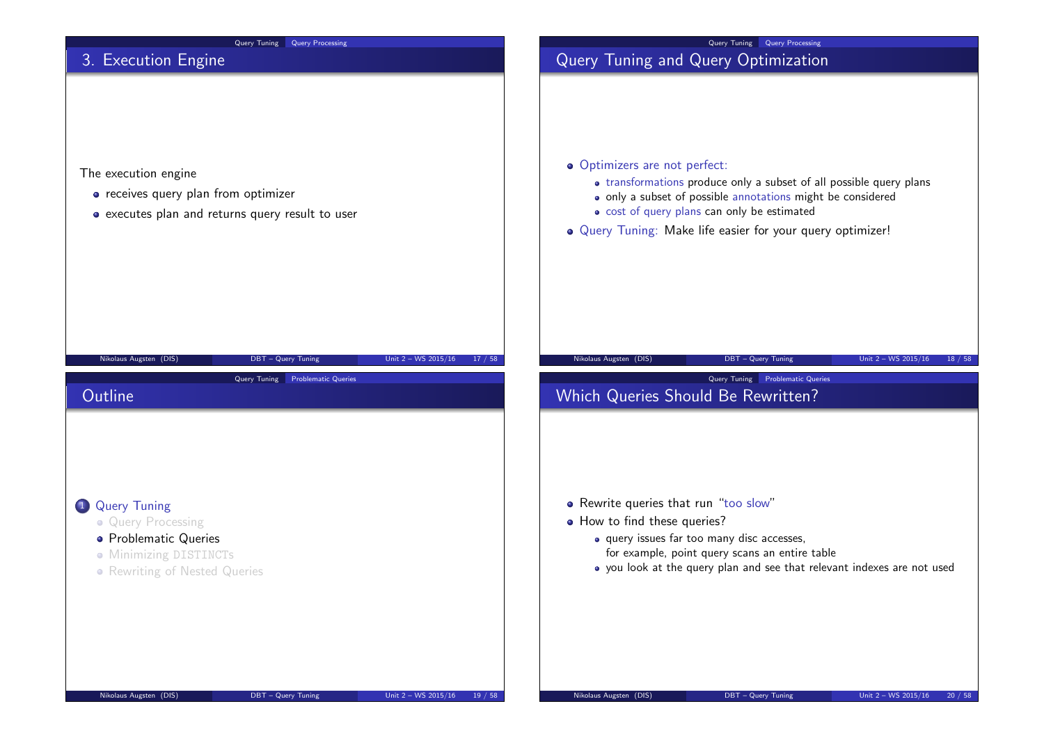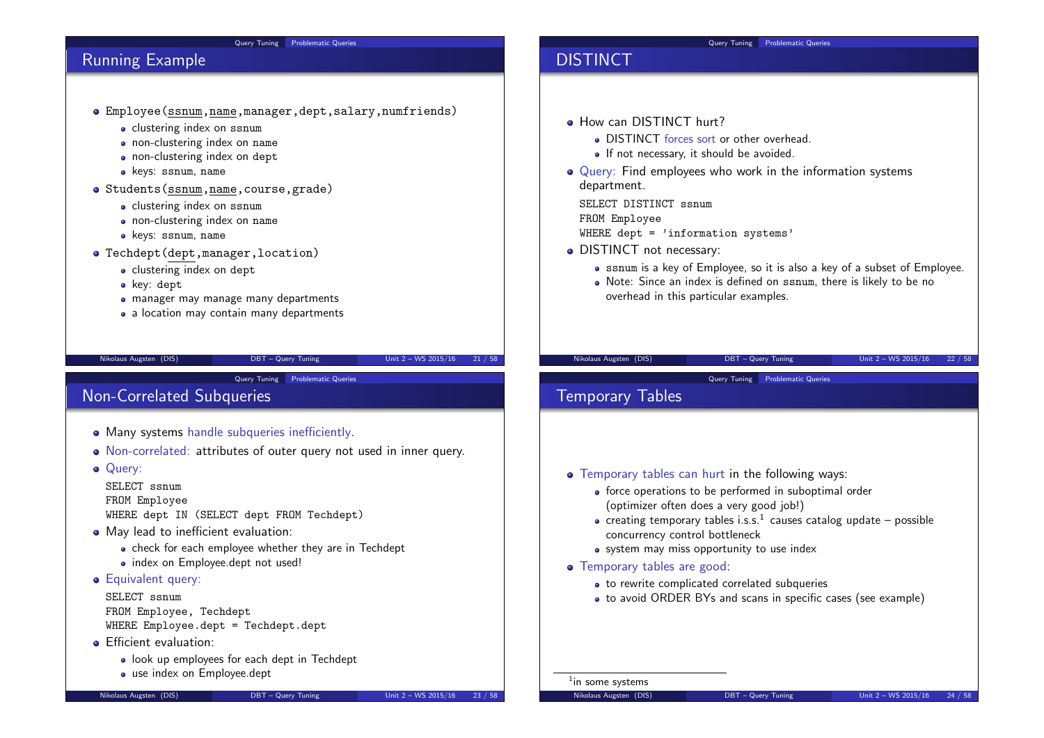#### Query Tuning Problematic Queries

### Running Example

- Employee(ssnum,name,manager,dept,salary,numfriends)
	- **•** clustering index on ssnum
	- non-clustering index on name
	- non-clustering index on dept
	- keys: ssnum, name
- Students(ssnum,name,course,grade)
	- clustering index on ssnum
	- non-clustering index on name
	- keys: ssnum, name
- Techdept(dept,manager,location)
	- clustering index on dept
	- key: dept
	- manager may manage many departments
	- a location may contain many departments

#### Nikolaus Augsten (DIS) DBT – Query Tuning Unit 2 – WS 2015/16 21 / 58

**Query Tuning Problematic Queries** 

# Non-Correlated Subqueries

- Many systems handle subqueries inefficiently.
- Non-correlated: attributes of outer query not used in inner query.
- **o** Querv:

SELECT ssnum FROM Employee WHERE dept IN (SELECT dept FROM Techdept)

- May lead to inefficient evaluation:
	- check for each employee whether they are in Techdept
	- index on Employee.dept not used!
- **Equivalent query:**

### SELECT ssnum

FROM Employee, Techdept WHERE Employee.dept = Techdept.dept

- **•** Efficient evaluation:
	- look up employees for each dept in Techdept
	- use index on Employee.dept

#### Query Tuning Problematic Queries

### DISTINCT

- **How can DISTINCT hurt?** 
	- DISTINCT forces sort or other overhead.
	- If not necessary, it should be avoided.
- Query: Find employees who work in the information systems department.

SELECT DISTINCT ssnum FROM Employee WHERE dept  $=$  'information systems'

- DISTINCT not necessary:
	- ssnum is a key of Employee, so it is also a key of a subset of Employee.
	- Note: Since an index is defined on ssnum, there is likely to be no overhead in this particular examples.

### Nikolaus Augsten (DIS) DBT – Query Tuning Unit 2 – WS 2015/16 22 / 58

Query Tuning Problematic Queries

### Temporary Tables

- Temporary tables can hurt in the following ways:
	- force operations to be performed in suboptimal order (optimizer often does a very good job!)
	- creating temporary tables i.s.s. $^1$  causes catalog update possible concurrency control bottleneck
	- system may miss opportunity to use index
- Temporary tables are good:
	- to rewrite complicated correlated subqueries
	- to avoid ORDER BYs and scans in specific cases (see example)

<sup>1</sup>in some systems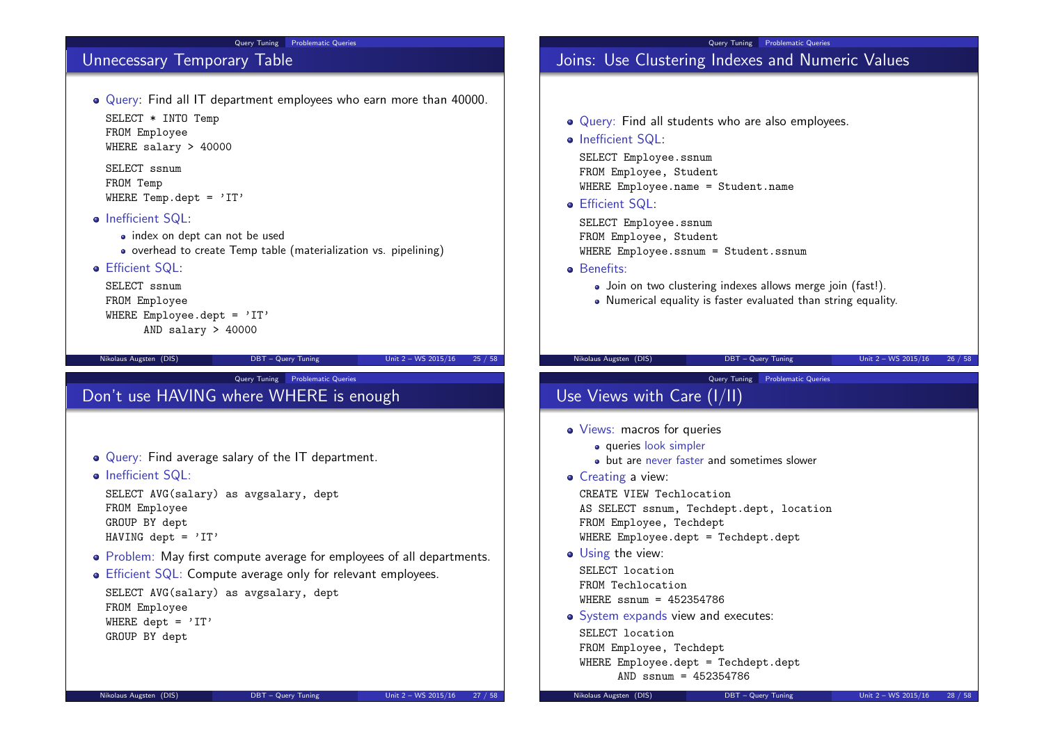#### Query Tuning Problematic Queries

## Unnecessary Temporary Table

Query: Find all IT department employees who earn more than 40000. SELECT \* INTO Temp FROM Employee

WHERE salary > 40000

SELECT ssnum FROM Temp WHERE Temp.dept =  $'IT'$ 

- Inefficient SQL:
	- index on dept can not be used
	- overhead to create Temp table (materialization vs. pipelining)
- **Efficient SQL:**

SELECT ssnum FROM Employee WHERE Employee.dept =  $'IT'$ AND salary > 40000

Nikolaus Augsten (DIS) DBT – Query Tuning Unit 2 – WS 2015/16 25 / 58

**Query Tuning** Problematic Queries

# Don't use HAVING where WHERE is enough

- Query: Find average salary of the IT department.
- Inefficient SQL:

SELECT AVG(salary) as avgsalary, dept FROM Employee GROUP BY dept HAVING dept =  $'IT'$ 

- Problem: May first compute average for employees of all departments.
- Efficient SQL: Compute average only for relevant employees.

SELECT AVG(salary) as avgsalary, dept FROM Employee WHERE dept =  $'IT'$ GROUP BY dept

# Query Tuning Problematic Queries

# Joins: Use Clustering Indexes and Numeric Values

- Query: Find all students who are also employees.
- Inefficient SQL:

SELECT Employee.ssnum FROM Employee, Student WHERE Employee.name = Student.name

Efficient SQL:

SELECT Employee.ssnum FROM Employee, Student WHERE Employee.ssnum = Student.ssnum

- **o** Benefits:
	- Join on two clustering indexes allows merge join (fast!).
	- Numerical equality is faster evaluated than string equality.

#### Nikolaus Augsten (DIS) DBT – Query Tuning Unit 2 – WS 2015/16 26 / 58

#### Query Tuning Problematic Queries

- Use Views with Care (I/II)
- Views: macros for queries
	- queries look simpler
	- but are never faster and sometimes slower
- **•** Creating a view:

CREATE VIEW Techlocation AS SELECT ssnum, Techdept.dept, location FROM Employee, Techdept

- WHERE Employee.dept = Techdept.dept
- Using the view:

SELECT location FROM Techlocation WHERE ssnum = 452354786

• System expands view and executes:

SELECT location FROM Employee, Techdept WHERE Employee.dept = Techdept.dept AND ssnum = 452354786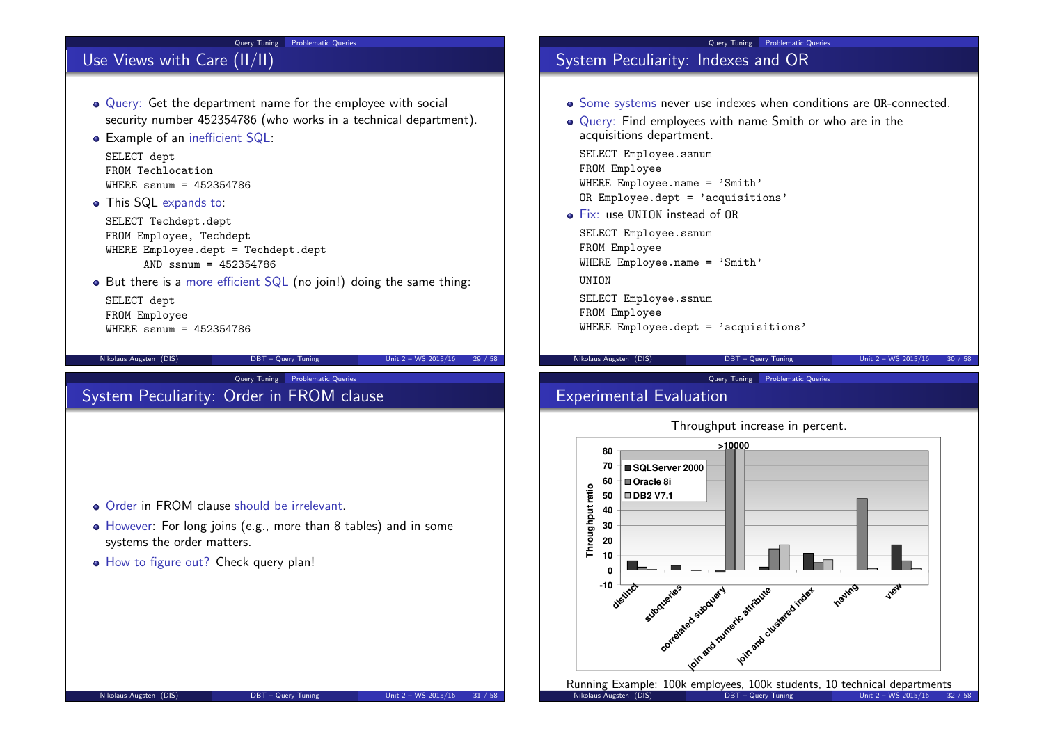#### Query Tuning Problematic Queries

# Use Views with Care (II/II)

- Query: Get the department name for the employee with social security number 452354786 (who works in a technical department).
- Example of an inefficient SQL:

SELECT dept FROM Techlocation  $WHFRF$  ssnum = 452354786

• This SQL expands to:

SELECT Techdept.dept FROM Employee, Techdept WHERE Employee.dept = Techdept.dept AND ssnum = 452354786

 $\bullet$  But there is a more efficient SQL (no join!) doing the same thing:

SELECT dept FROM Employee  $WHERE$  ssnum = 452354786

#### Nikolaus Augsten (DIS) DBT – Query Tuning Unit 2 – WS 2015/16 29 / 58

### **Query Tuning Problematic Queries** System Peculiarity: Order in FROM clause

- **Qrder in FROM clause should be irrelevant.**
- However: For long joins (e.g., more than 8 tables) and in some systems the order matters.
- $\bullet$  How to figure out? Check query plan!

#### Query Tuning Problematic Queries

### System Peculiarity: Indexes and OR

- Some systems never use indexes when conditions are OR-connected.
- Query: Find employees with name Smith or who are in the acquisitions department.

SELECT Employee.ssnum FROM Employee WHERE Employee.name = 'Smith' OR Employee.dept = 'acquisitions'

Fix: use UNION instead of OR

SELECT Employee.ssnum FROM Employee WHERE Employee.name = 'Smith'

UNION

SELECT Employee.ssnum FROM Employee WHERE Employee.dept = 'acquisitions'

Nikolaus Augsten (DIS) DBT – Query Tuning Unit 2 – WS 2015/16 30 / 58

### Query Tuning Problematic Queries

## Experimental Evaluation





Nikolaus Augsten (DIS)  $DBT - Query$  Tuning  $Unit\ 2 - WS\ 2015/16\ 32/58$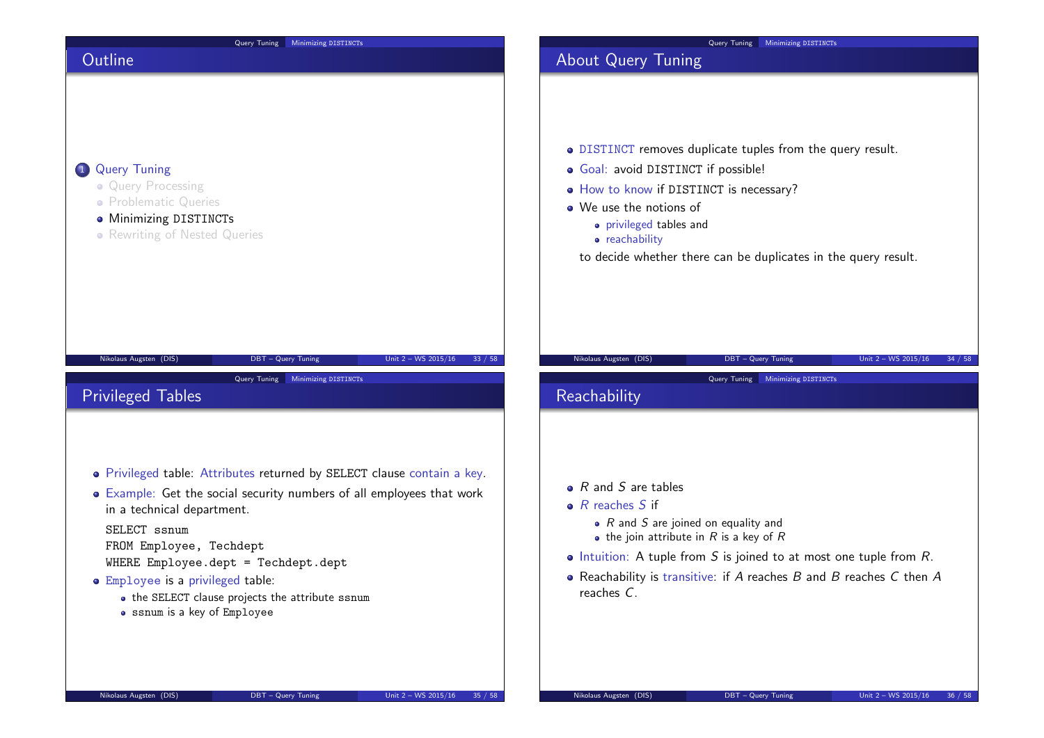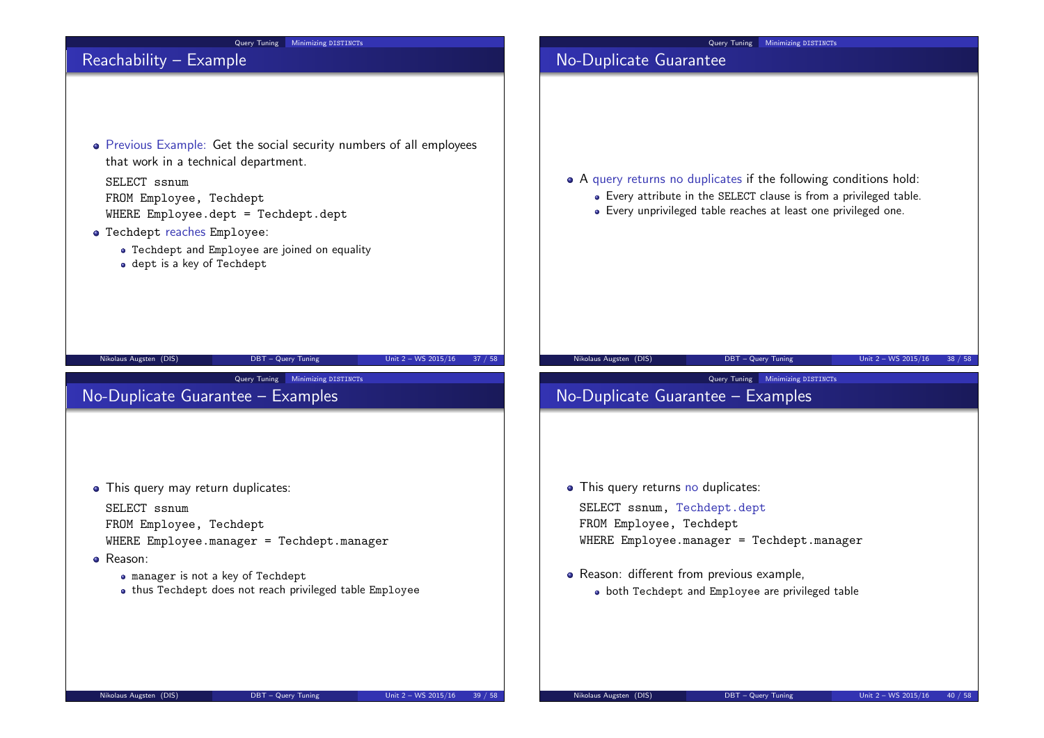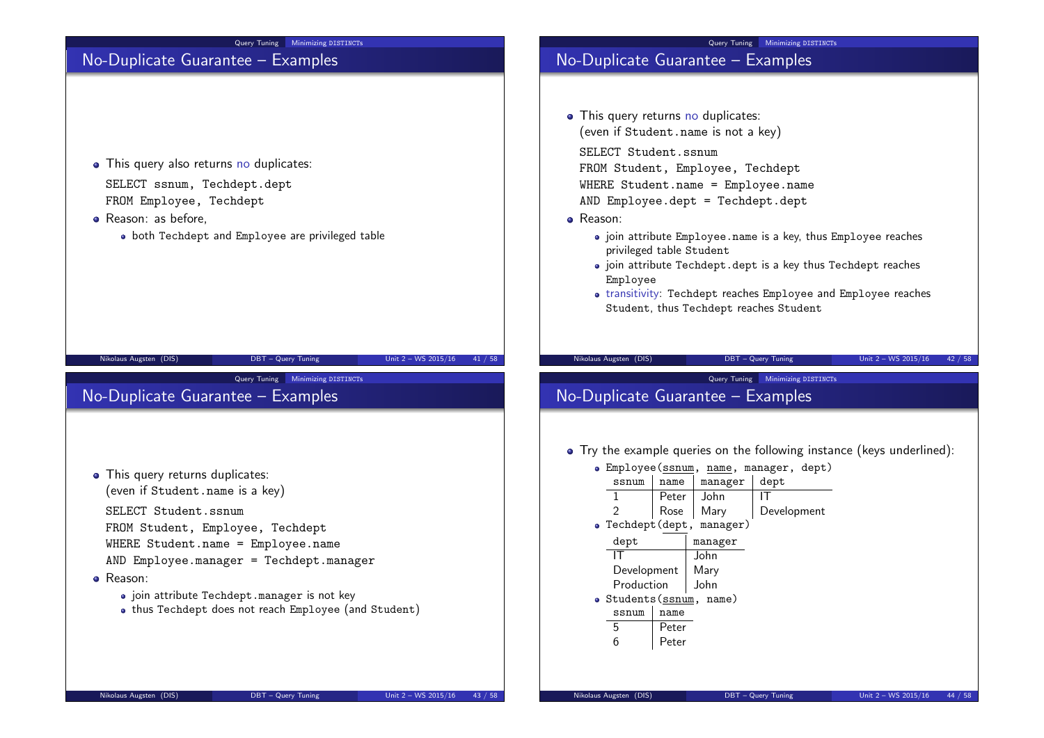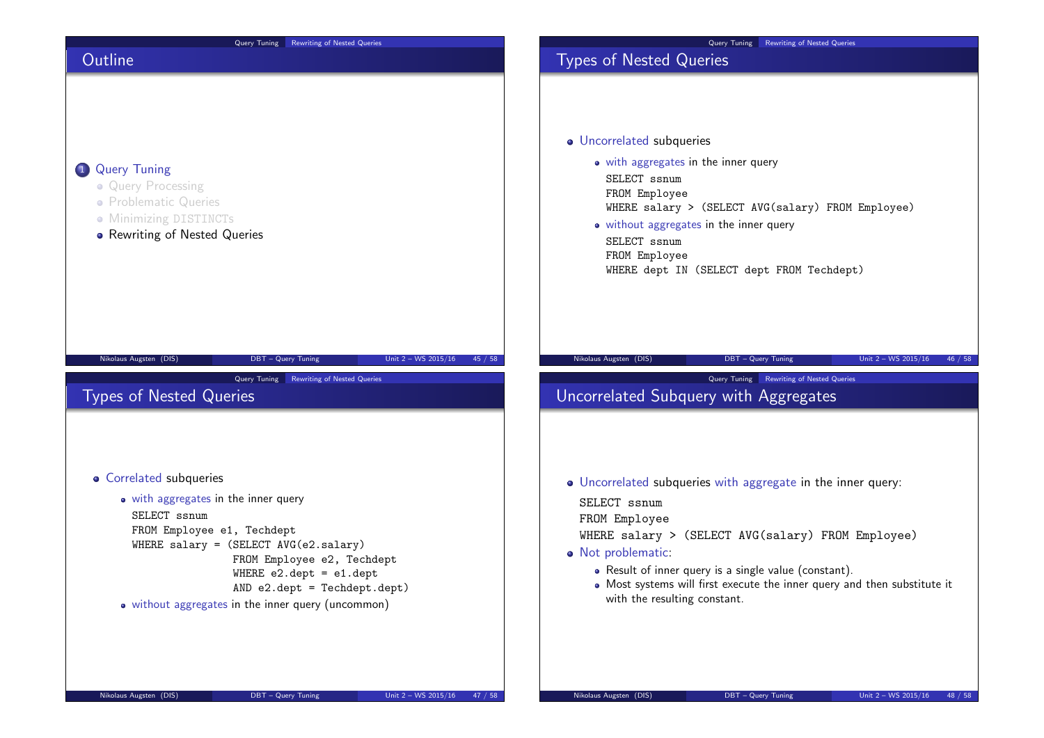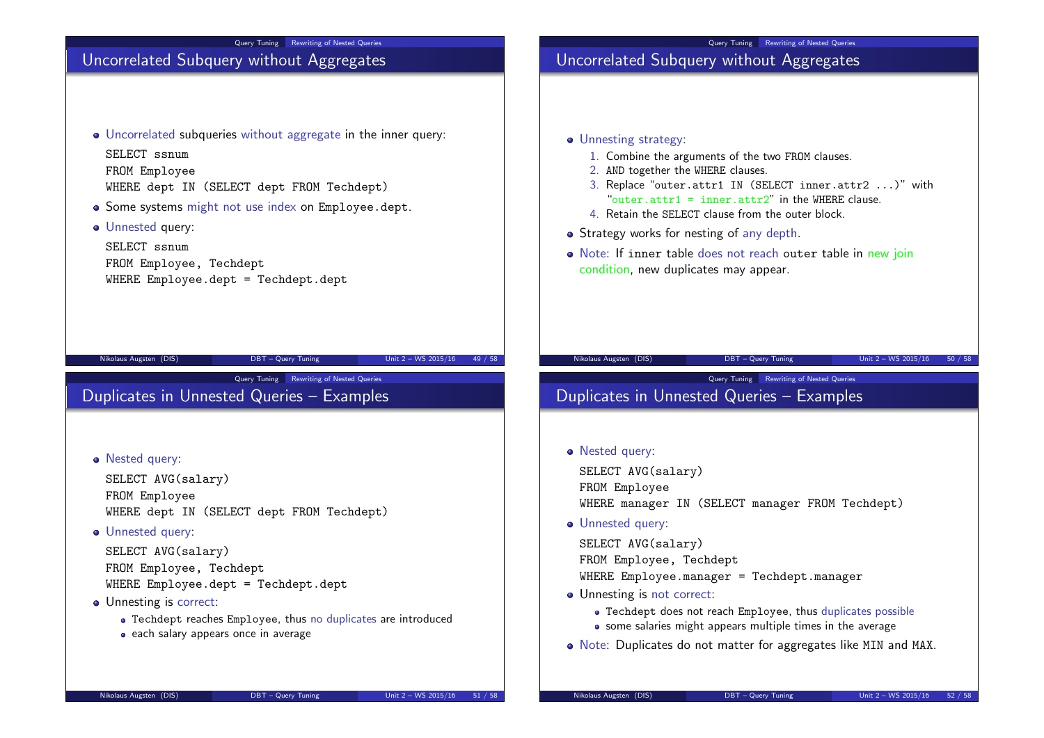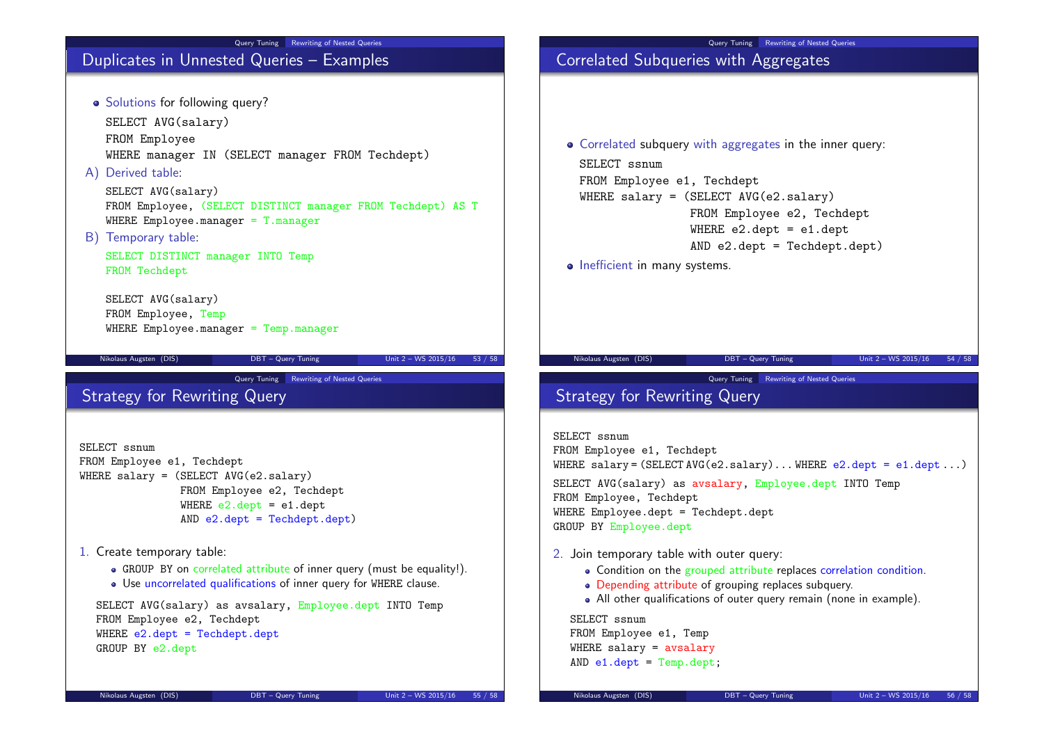